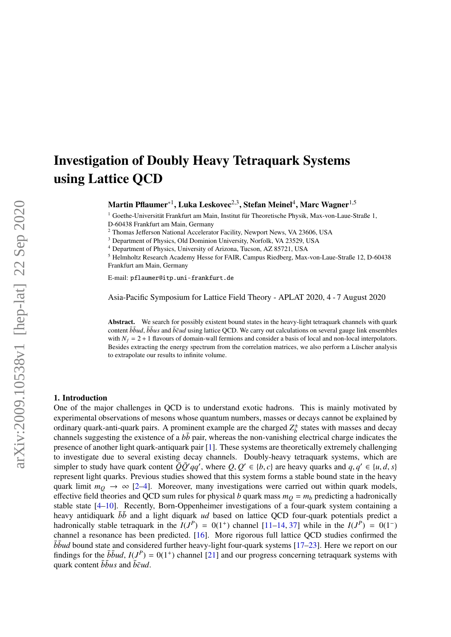# Investigation of Doubly Heavy Tetraquark Systems using Lattice QCD

 $\mathrm{Martin~Pflaumer}^{*1}, \mathrm{Luka~Leskovec}^{2,3}, \mathrm{Stefan~Meinel}^4, \mathrm{Marc~Wagner}^{1,5}$ 

 $1$  Goethe-Universität Frankfurt am Main, Institut für Theoretische Physik, Max-von-Laue-Straße 1, D-60438 Frankfurt am Main, Germany

<sup>2</sup> Thomas Jefferson National Accelerator Facility, Newport News, VA 23606, USA

<sup>3</sup> Department of Physics, Old Dominion University, Norfolk, VA 23529, USA

<sup>4</sup> Department of Physics, University of Arizona, Tucson, AZ 85721, USA

<sup>5</sup> Helmholtz Research Academy Hesse for FAIR, Campus Riedberg, Max-von-Laue-Straße 12, D-60438 Frankfurt am Main, Germany

E-mail: pflaumer@itp.uni-frankfurt.de

Asia-Pacific Symposium for Lattice Field Theory - APLAT 2020, 4 - 7 August 2020

Abstract. We search for possibly existent bound states in the heavy-light tetraquark channels with quark content  $b\bar{b}ud$ ,  $\bar{b}\bar{b}us$  and  $\bar{b}\bar{c}ud$  using lattice QCD. We carry out calculations on several gauge link ensembles with  $N_f = 2 + 1$  flavours of domain-wall fermions and consider a basis of local and non-local interpolators. Besides extracting the energy spectrum from the correlation matrices, we also perform a Lüscher analysis to extrapolate our results to infinite volume.

## 1. Introduction

One of the major challenges in QCD is to understand exotic hadrons. This is mainly motivated by experimental observations of mesons whose quantum numbers, masses or decays cannot be explained by ordinary quark-anti-quark pairs. A prominent example are the charged  $Z_h^{\pm}$  $b_b^{\pm}$  states with masses and decay channels suggesting the existence of a  $b\bar{b}$  pair, whereas the non-vanishing electrical charge indicates the presence of another light quark-antiquark pair [\[1\]](#page-7-0). These systems are theoretically extremely challenging to investigate due to several existing decay channels. Doubly-heavy tetraquark systems, which are simpler to study have quark content  $\overline{Q}\overline{Q}'qq'$ , where  $Q, Q' \in \{b, c\}$  are heavy quarks and  $q, q' \in \{u, d, s\}$ <br>represent light quarks. Previous studies showed that this system forms a stable bound state in the heavy represent light quarks. Previous studies showed that this system forms a stable bound state in the heavy quark limit  $m_Q \rightarrow \infty$  [\[2](#page-7-1)[–4\]](#page-8-0). Moreover, many investigations were carried out within quark models, effective field theories and QCD sum rules for physical *b* quark mass  $m_Q = m_b$  predicting a hadronically stable state [\[4–](#page-8-0)[10\]](#page-8-1). Recently, Born-Oppenheimer investigations of a four-quark system containing a heavy antidiquark *bb* and a light diquark *ud* based on lattice QCD four-quark potentials predict a hadronically stable tetraquark in the  $I(J^P) = 0(1^+)$  channel [\[11–](#page-8-2)[14,](#page-8-3) [37\]](#page-8-4) while in the  $I(J^P) = 0(1^-)$ channel a resonance has been predicted. [\[16\]](#page-8-5). More rigorous full lattice QCD studies confirmed the  $b\bar{b}$ *ud* bound state and considered further heavy-light four-quark systems [\[17–](#page-8-6)[23\]](#page-8-7). Here we report on our findings for the  $b\bar{b}ud$ ,  $I(J^P) = 0(1^+)$  channel [\[21\]](#page-8-8) and our progress concerning tetraquark systems with quark content  $\bar{b}bus$  and  $\bar{b}\bar{c}ud$ .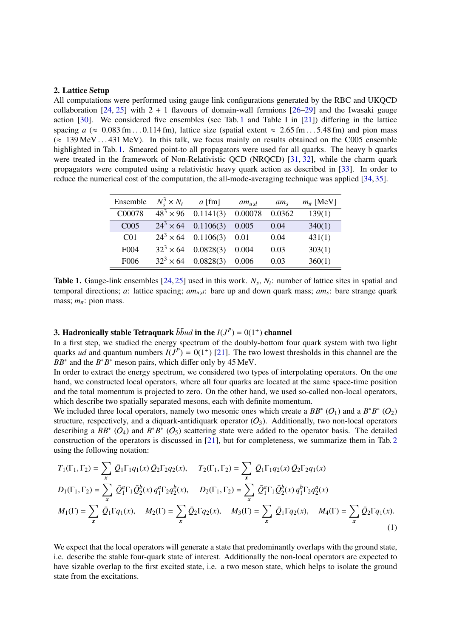## <span id="page-1-1"></span>2. Lattice Setup

All computations were performed using gauge link configurations generated by the RBC and UKQCD collaboration  $[24, 25]$  $[24, 25]$  $[24, 25]$  with  $2 + 1$  flavours of domain-wall fermions  $[26-29]$  $[26-29]$  and the Iwasaki gauge action [\[30\]](#page-8-13). We considered five ensembles (see Tab. [1](#page-1-0) and Table I in [\[21\]](#page-8-8)) differing in the lattice spacing  $a \approx 0.083$  fm . . . 0.114 fm), lattice size (spatial extent  $\approx 2.65$  fm . . . 5.48 fm) and pion mass  $\approx 139 \text{ MeV} \dots 431 \text{ MeV}$ . In this talk, we focus mainly on results obtained on the C005 ensemble highlighted in Tab. [1.](#page-1-0) Smeared point-to all propagators were used for all quarks. The heavy b quarks were treated in the framework of Non-Relativistic QCD (NRQCD) [\[31,](#page-8-14) [32\]](#page-8-15), while the charm quark propagators were computed using a relativistic heavy quark action as described in [\[33\]](#page-8-16). In order to reduce the numerical cost of the computation, the all-mode-averaging technique was applied [\[34,](#page-9-0) [35\]](#page-9-1).

| $N_s^3 \times N_t$ | $a$ [fm]  | $am_{u:d}$ | $am_s$ | $m_\pi$ [MeV] |
|--------------------|-----------|------------|--------|---------------|
| $48^{3} \times 96$ | 0.1141(3) | 0.00078    | 0.0362 | 139(1)        |
| $24^3 \times 64$   | 0.1106(3) | 0.005      | 0.04   | 340(1)        |
| $24^3 \times 64$   | 0.1106(3) | 0.01       | 0.04   | 431(1)        |
| $32^3 \times 64$   | 0.0828(3) | 0.004      | 0.03   | 303(1)        |
| $32^3 \times 64$   | 0.0828(3) | 0.006      | 0.03   | 360(1)        |
|                    |           |            |        |               |

<span id="page-1-0"></span>**Table 1.** Gauge-link ensembles  $[24, 25]$  $[24, 25]$  $[24, 25]$  used in this work.  $N_s$ ,  $N_t$ : number of lattice sites in spatial and temporal directions; *a*: lattice spacing; *amu*;*d*: bare up and down quark mass; *am<sup>s</sup>* : bare strange quark mass;  $m_\pi$ : pion mass.

## <span id="page-1-2"></span>3. Hadronically stable Tetraquark  $\bar{b} \bar{b} u d$  in the  $I(J^P) = 0(1^+)$  channel

In a first step, we studied the energy spectrum of the doubly-bottom four quark system with two light quarks *ud* and quantum numbers  $I(J^P) = O(1^+)$  [\[21\]](#page-8-8). The two lowest thresholds in this channel are the  $BB^*$  and the  $B^*B^*$  meson pairs, which differ only by 45 MeV.

In order to extract the energy spectrum, we considered two types of interpolating operators. On the one hand, we constructed local operators, where all four quarks are located at the same space-time position and the total momentum is projected to zero. On the other hand, we used so-called non-local operators, which describe two spatially separated mesons, each with definite momentum.

We included three local operators, namely two mesonic ones which create a  $BB^*$  (O<sub>1</sub>) and a  $B^*B^*$  (O<sub>2</sub>) structure, respectively, and a diquark-antidiquark operator  $(O_3)$ . Additionally, two non-local operators describing a  $BB^*$  (O<sub>4</sub>) and  $B^*B^*$  (O<sub>5</sub>) scattering state were added to the operator basis. The detailed construction of the operators is discussed in [\[21\]](#page-8-8), but for completeness, we summarize them in Tab. [2](#page-2-0) using the following notation:

<span id="page-1-3"></span>
$$
T_1(\Gamma_1, \Gamma_2) = \sum_{x} \bar{Q}_1 \Gamma_1 q_1(x) \bar{Q}_2 \Gamma_2 q_2(x), \quad T_2(\Gamma_1, \Gamma_2) = \sum_{x} \bar{Q}_1 \Gamma_1 q_2(x) \bar{Q}_2 \Gamma_2 q_1(x)
$$
  
\n
$$
D_1(\Gamma_1, \Gamma_2) = \sum_{x} \bar{Q}_1^a \Gamma_1 \bar{Q}_2^b(x) q_1^a \Gamma_2 q_2^b(x), \quad D_2(\Gamma_1, \Gamma_2) = \sum_{x} \bar{Q}_1^a \Gamma_1 \bar{Q}_2^b(x) q_1^b \Gamma_2 q_2^a(x)
$$
  
\n
$$
M_1(\Gamma) = \sum_{x} \bar{Q}_1 \Gamma q_1(x), \quad M_2(\Gamma) = \sum_{x} \bar{Q}_2 \Gamma q_2(x), \quad M_3(\Gamma) = \sum_{x} \bar{Q}_1 \Gamma q_2(x), \quad M_4(\Gamma) = \sum_{x} \bar{Q}_2 \Gamma q_1(x).
$$
  
\n(1)

We expect that the local operators will generate a state that predominantly overlaps with the ground state, i.e. describe the stable four-quark state of interest. Additionally the non-local operators are expected to have sizable overlap to the first excited state, i.e. a two meson state, which helps to isolate the ground state from the excitations.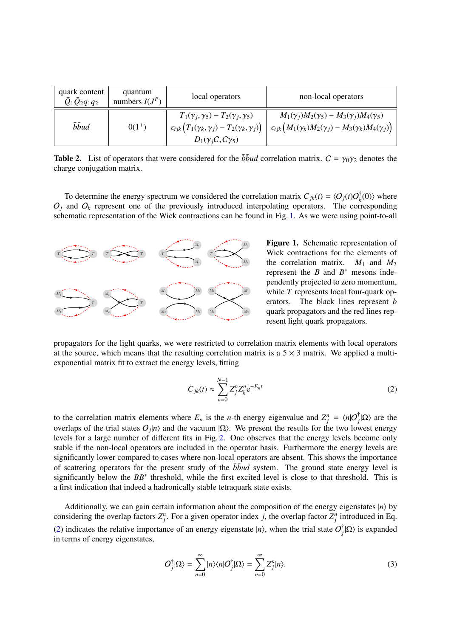| quark content<br>$\bar{Q}_1\bar{Q}_2q_1q_2$ | quantum<br>numbers $I(J^P)$ | local operators                                                                                                                                                                         | non-local operators                                                                                                                             |
|---------------------------------------------|-----------------------------|-----------------------------------------------------------------------------------------------------------------------------------------------------------------------------------------|-------------------------------------------------------------------------------------------------------------------------------------------------|
| $\bar{b} \bar{b} u d$                       | $0(1^+)$                    | $T_1(\gamma_i, \gamma_5) - T_2(\gamma_i, \gamma_5)$<br>$\left\{ \epsilon_{ijk} \left( T_1(\gamma_k, \gamma_j) - T_2(\gamma_k, \gamma_j) \right) \right\}$<br>$D_1(\gamma_iC,C\gamma_5)$ | $M_1(\gamma_i)M_2(\gamma_5) - M_3(\gamma_i)M_4(\gamma_5)$<br>$\epsilon_{ijk}\left(M_1(\gamma_k)M_2(\gamma_j)-M_3(\gamma_k)M_4(\gamma_j)\right)$ |

<span id="page-2-0"></span>**Table 2.** List of operators that were considered for the  $b\bar{b}\nu d$  correlation matrix.  $C = \gamma_0 \gamma_2$  denotes the charge conjugation matrix.

To determine the energy spectrum we considered the correlation matrix  $C_{jk}(t) = \langle O_j(t)O_j^{\dagger}$  $\binom{d}{k}(0)$  where  $O_j$  and  $O_k$  represent one of the previously introduced interpolating operators. The corresponding schematic representation of the Wick contractions can be found in Fig. [1.](#page-2-1) As we were using point-to-all



<span id="page-2-1"></span>Figure 1. Schematic representation of Wick contractions for the elements of the correlation matrix.  $M_1$  and  $M_2$ represent the  $B$  and  $B^*$  mesons independently projected to zero momentum, while *T* represents local four-quark operators. The black lines represent *b* quark propagators and the red lines represent light quark propagators.

propagators for the light quarks, we were restricted to correlation matrix elements with local operators at the source, which means that the resulting correlation matrix is a  $5 \times 3$  matrix. We applied a multiexponential matrix fit to extract the energy levels, fitting

<span id="page-2-2"></span>
$$
C_{jk}(t) \approx \sum_{n=0}^{N-1} Z_j^n Z_k^n e^{-E_n t}
$$
 (2)

to the correlation matrix elements where  $E_n$  is the *n*-th energy eigenvalue and  $Z_j^n = \langle n|O_j^{\dagger}|\Omega\rangle$  are the overlaps of the trial states  $O_j|n\rangle$  and the vacuum  $|\Omega\rangle$ . We present the results for the two lowest energy levels for a large number of different fits in Fig. [2.](#page-3-0) One observes that the energy levels become only stable if the non-local operators are included in the operator basis. Furthermore the energy levels are significantly lower compared to cases where non-local operators are absent. This shows the importance of scattering operators for the present study of the  $b\bar{b}u$  system. The ground state energy level is significantly below the  $BB^*$  threshold, while the first excited level is close to that threshold. This is a first indication that indeed a hadronically stable tetraquark state exists.

Additionally, we can gain certain information about the composition of the energy eigenstates  $|n\rangle$  by considering the overlap factors  $Z_j^n$ . For a given operator index *j*, the overlap factor  $Z_j^n$  introduced in Eq. [\(2\)](#page-2-2) indicates the relative importance of an energy eigenstate  $|n\rangle$ , when the trial state  $O_i^{\dagger}$  $j^{\dagger}$ |Ω $\rangle$  is expanded in terms of energy eigenstates,

$$
O_j^{\dagger}|\Omega\rangle = \sum_{n=0}^{\infty} |n\rangle\langle n|O_j^{\dagger}|\Omega\rangle = \sum_{n=0}^{\infty} Z_j^n|n\rangle.
$$
 (3)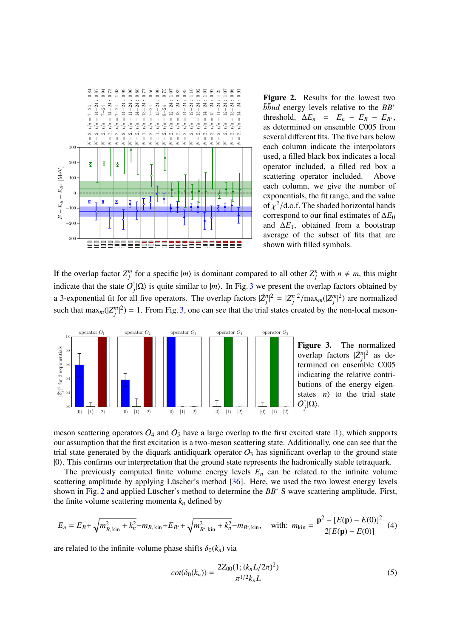

<span id="page-3-0"></span>Figure 2. Results for the lowest two  $b\bar{b}$ *ud* energy levels relative to the  $BB^*$ threshold,  $\Delta E_n = E_n - E_B - E_{B^*}$ , as determined on ensemble C005 from several different fits. The five bars below each column indicate the interpolators used, a filled black box indicates a local operator included, a filled red box a scattering operator included. Above each column, we give the number of exponentials, the fit range, and the value of  $\chi^2$ /d.o.f. The shaded horizontal bands<br>correspond to our final estimates of  $\Delta F_0$ correspond to our final estimates of ∆*E*<sup>0</sup> and  $\Delta E_1$ , obtained from a bootstrap average of the subset of fits that are shown with filled symbols.

If the overlap factor  $Z_j^m$  for a specific  $|m\rangle$  is dominant compared to all other  $Z_j^n$  with  $n \neq m$ , this might indicate that the state  $O_i^{\dagger}$  $\int_{i}^{T} |\Omega\rangle$  is quite similar to  $|m\rangle$ . In Fig. [3](#page-3-1) we present the overlap factors obtained by a 3-exponential fit for all five operators. The overlap factors  $|\tilde{Z}_j^n|^2 = |Z_j^n|^2 / \max_m(|Z_j^m|^2)$  are normalized such that  $\max_m(|Z_j^m|^2) = 1$ . From Fig. [3,](#page-3-1) one can see that the trial states created by the non-local meson-



<span id="page-3-1"></span>Figure 3. The normalized overlap factors  $|\tilde{Z}_j^n|^2$  as determined on ensemble C005 indicating the relative contributions of the energy eigenstates  $|n\rangle$  to the trial state  $O^{\dagger}_{\cdot}$  $_{j}^{\mathrm{r}}|\Omega\rangle.$ 

meson scattering operators  $O_4$  and  $O_5$  have a large overlap to the first excited state  $|1\rangle$ , which supports our assumption that the first excitation is a two-meson scattering state. Additionally, one can see that the trial state generated by the diquark-antidiquark operator  $O_3$  has significant overlap to the ground state |0i. This confirms our interpretation that the ground state represents the hadronically stable tetraquark.

The previously computed finite volume energy levels  $E_n$  can be related to the infinite volume scattering amplitude by applying Lüscher's method [[36\]](#page-9-2). Here, we used the two lowest energy levels shown in Fig. [2](#page-3-0) and applied Lüscher's method to determine the BB<sup>\*</sup> S wave scattering amplitude. First, the finite volume scattering momenta  $k_n$  defined by

$$
E_n = E_B + \sqrt{m_{B,\text{kin}}^2 + k_n^2} - m_{B,\text{kin}} + E_{B^*} + \sqrt{m_{B^*,\text{kin}}^2 + k_n^2} - m_{B^*,\text{kin}}, \quad \text{with:} \ m_{\text{kin}} = \frac{\mathbf{p}^2 - [E(\mathbf{p}) - E(0)]^2}{2[E(\mathbf{p}) - E(0)]} \tag{4}
$$

are related to the infinite-volume phase shifts  $\delta_0(k_n)$  via

$$
cot(\delta_0(k_n)) = \frac{2Z_{00}(1; (k_nL/2\pi)^2)}{\pi^{1/2}k_nL}
$$
\n(5)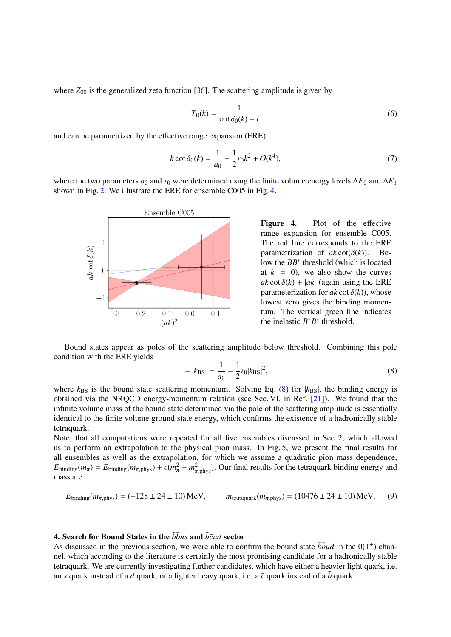where  $Z_{00}$  is the generalized zeta function [\[36\]](#page-9-2). The scattering amplitude is given by

$$
T_0(k) = \frac{1}{\cot \delta_0(k) - i}
$$
\n(6)

and can be parametrized by the effective range expansion (ERE)

$$
k \cot \delta_0(k) = \frac{1}{a_0} + \frac{1}{2} r_0 k^2 + O(k^4),\tag{7}
$$

where the two parameters  $a_0$  and  $r_0$  were determined using the finite volume energy levels  $\Delta E_0$  and  $\Delta E_1$ shown in Fig. [2.](#page-3-0) We illustrate the ERE for ensemble C005 in Fig. [4.](#page-4-0)



<span id="page-4-0"></span>Figure 4. Plot of the effective range expansion for ensemble C005. The red line corresponds to the ERE parametrization of  $ak \cot(\delta(k))$ . Below the *BB*<sup>∗</sup> threshold (which is located at  $k = 0$ , we also show the curves  $ak \cot \delta(k)$  + |*ak*| (again using the ERE parameterization for  $ak \cot \delta(k)$ , whose lowest zero gives the binding momentum. The vertical green line indicates the inelastic  $B^*B^*$  threshold.

Bound states appear as poles of the scattering amplitude below threshold. Combining this pole condition with the ERE yields

<span id="page-4-1"></span>
$$
-|k_{\rm BS}| = \frac{1}{a_0} - \frac{1}{2}r_0|k_{\rm BS}|^2,\tag{8}
$$

where  $k_{\text{BS}}$  is the bound state scattering momentum. Solving Eq. [\(8\)](#page-4-1) for  $|k_{\text{BS}}|$ , the binding energy is obtained via the NRQCD energy-momentum relation (see Sec. VI. in Ref. [\[21\]](#page-8-8)). We found that the infinite volume mass of the bound state determined via the pole of the scattering amplitude is essentially identical to the finite volume ground state energy, which confirms the existence of a hadronically stable tetraquark.

Note, that all computations were repeated for all five ensembles discussed in Sec. [2,](#page-1-1) which allowed us to perform an extrapolation to the physical pion mass. In Fig. [5,](#page-5-0) we present the final results for all ensembles as well as the extrapolation, for which we assume a quadratic pion mass dependence,  $E_{\text{binding}}(m_{\pi}) = E_{\text{binding}}(m_{\pi,\text{phys}}) + c(m_{\pi}^2 - m_{\pi,\text{phys}}^2)$ . Our final results for the tetraquark binding energy and mass are mass are

$$
E_{\text{binding}}(m_{\pi,\text{phys}}) = (-128 \pm 24 \pm 10) \,\text{MeV}, \qquad m_{\text{tetraquark}}(m_{\pi,\text{phys}}) = (10476 \pm 24 \pm 10) \,\text{MeV}. \tag{9}
$$

## 4. Search for Bound States in the  $b\bar{b}u_s$  and  $\bar{b}\bar{c}u_d$  sector

As discussed in the previous section, we were able to confirm the bound state  $\bar{b} \bar{b} u d$  in the  $0(1^+)$  channel, which according to the literature is certainly the most promising candidate for a hadronically stable tetraquark. We are currently investigating further candidates, which have either a heavier light quark, i.e. an *s* quark instead of a *d* quark, or a lighter heavy quark, i.e. a  $\bar{c}$  quark instead of a  $\bar{b}$  quark.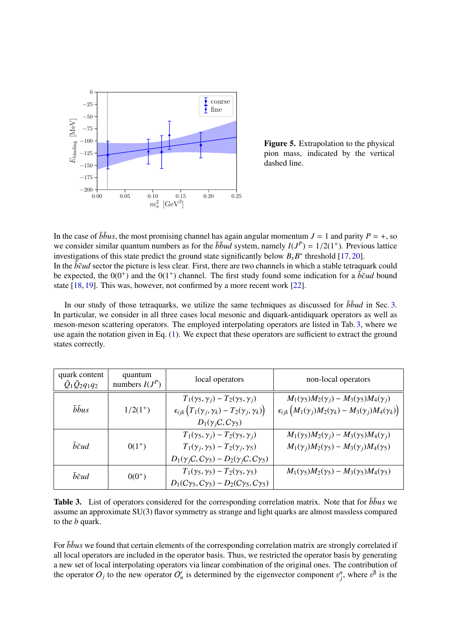

<span id="page-5-0"></span>Figure 5. Extrapolation to the physical pion mass, indicated by the vertical dashed line.

In the case of  $b\bar{b}u$ s, the most promising channel has again angular momentum  $J = 1$  and parity  $P = +$ , so we consider similar quantum numbers as for the  $\bar{b} \bar{b} u \bar{d}$  system, namely  $I(J^P) = 1/2(1^+)$ . Previous lattice investigations of this state predict the ground state significantly below *B*,  $R^*$  threshold [17, 20] investigations of this state predict the ground state significantly below  $B_s B^*$  threshold [\[17,](#page-8-6) [20\]](#page-8-17). In the  $\bar{b}\bar{c}ud$  sector the picture is less clear. First, there are two channels in which a stable tetraquark could be expected, the  $0(0^+)$  and the  $0(1^+)$  channel. The first study found some indication for a  $\bar{b}\bar{c}ud$  bound state [\[18,](#page-8-18) [19\]](#page-8-19). This was, however, not confirmed by a more recent work [\[22\]](#page-8-20).

In our study of those tetraquarks, we utilize the same techniques as discussed for  $\bar{b} \bar{b} u d$  in Sec. [3.](#page-1-2) In particular, we consider in all three cases local mesonic and diquark-antidiquark operators as well as meson-meson scattering operators. The employed interpolating operators are listed in Tab. [3,](#page-5-1) where we use again the notation given in Eq. [\(1\)](#page-1-3). We expect that these operators are sufficient to extract the ground states correctly.

| quark content<br>$\bar{Q}_1\bar{Q}_2q_1q_2$ | quantum<br>numbers $I(J^P)$ | local operators                                                                                                                                                 | non-local operators                                                                                                                             |
|---------------------------------------------|-----------------------------|-----------------------------------------------------------------------------------------------------------------------------------------------------------------|-------------------------------------------------------------------------------------------------------------------------------------------------|
| bbus                                        | $1/2(1^+)$                  | $T_1(\gamma_5,\gamma_i)-T_2(\gamma_5,\gamma_i)$<br>$\epsilon_{ijk}\big(T_1(\gamma_j,\gamma_k)-T_2(\gamma_j,\gamma_k)\big)$<br>$D_1(\gamma_iC,C\gamma_5)$        | $M_1(\gamma_5)M_2(\gamma_i) - M_3(\gamma_5)M_4(\gamma_i)$<br>$\epsilon_{ijk}\left(M_1(\gamma_j)M_2(\gamma_k)-M_3(\gamma_j)M_4(\gamma_k)\right)$ |
| $\bar{b}\bar{c}ud$                          | $0(1^+)$                    | $T_1(\gamma_5,\gamma_i)-T_2(\gamma_5,\gamma_i)$<br>$T_1(\gamma_i, \gamma_5) - T_2(\gamma_i, \gamma_5)$<br>$D_1(\gamma_iC,C\gamma_5) - D_2(\gamma_iC,C\gamma_5)$ | $M_1(\gamma_5)M_2(\gamma_i) - M_3(\gamma_5)M_4(\gamma_i)$<br>$M_1(\gamma_i)M_2(\gamma_5) - M_3(\gamma_i)M_4(\gamma_5)$                          |
| $\bar{b}\bar{c}ud$                          | $0(0^+)$                    | $T_1(\gamma_5, \gamma_5) - T_2(\gamma_5, \gamma_5)$<br>$D_1(C\gamma_5, C\gamma_5) - D_2(C\gamma_5, C\gamma_5)$                                                  | $M_1(\gamma_5)M_2(\gamma_5) - M_3(\gamma_5)M_4(\gamma_5)$                                                                                       |

<span id="page-5-1"></span>Table 3. List of operators considered for the corresponding correlation matrix. Note that for  $b\bar{b}u s$  we assume an approximate SU(3) flavor symmetry as strange and light quarks are almost massless compared to the *b* quark.

For  $b\bar{b}u$ s we found that certain elements of the corresponding correlation matrix are strongly correlated if all local operators are included in the operator basis. Thus, we restricted the operator basis by generating a new set of local interpolating operators via linear combination of the original ones. The contribution of the operator  $O_j$  to the new operator  $O'_n$  is determined by the eigenvector component  $v_j^n$ , where  $v^{\vec{n}}$  is the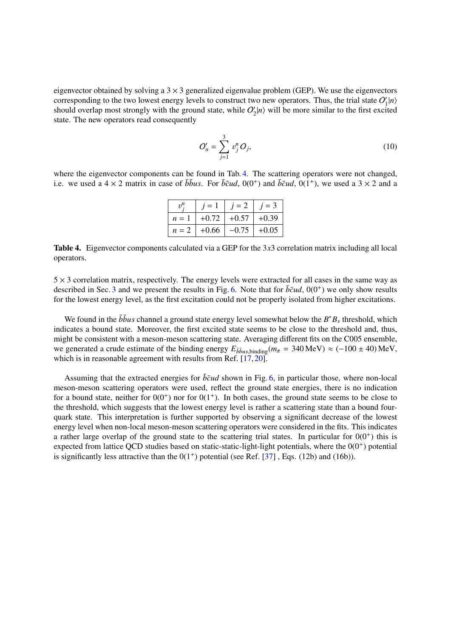eigenvector obtained by solving a  $3 \times 3$  generalized eigenvalue problem (GEP). We use the eigenvectors corresponding to the two lowest energy levels to construct two new operators. Thus, the trial state  $O_1$  $\binom{n}{1}$ should overlap most strongly with the ground state, while  $O_2$  $\binom{n}{2}$  will be more similar to the first excited state. The new operators read consequently

$$
O'_{n} = \sum_{j=1}^{3} v_{j}^{n} O_{j},
$$
\n(10)

where the eigenvector components can be found in Tab. [4.](#page-6-0) The scattering operators were not changed, i.e. we used a  $4 \times 2$  matrix in case of  $b\bar{b}u$ s. For  $\bar{b}\bar{c}u$ ,  $0(0^+)$  and  $\bar{b}\bar{c}u$ ,  $0(1^+)$ , we used a  $3 \times 2$  and a

|       | $i=1$   | $i=2$         | $i=3$   |
|-------|---------|---------------|---------|
| $n=1$ |         | $+0.72$ +0.57 | $+0.39$ |
| $n=2$ | $+0.66$ | $-0.75$       | $+0.05$ |
|       |         |               |         |

<span id="page-6-0"></span>Table 4. Eigenvector components calculated via a GEP for the 3*x*3 correlation matrix including all local operators.

 $5 \times 3$  correlation matrix, respectively. The energy levels were extracted for all cases in the same way as described in Sec. [3](#page-1-2) and we present the results in Fig. [6.](#page-7-2) Note that for  $\bar{b}\bar{c}ud$ ,  $0(0^+)$  we only show results for the lowest energy level, as the first excitation could not be properly isolated from higher excitations.

We found in the  $b\bar{b}u s$  channel a ground state energy level somewhat below the  $B^*B_s$  threshold, which indicates a bound state. Moreover, the first excited state seems to be close to the threshold and, thus, might be consistent with a meson-meson scattering state. Averaging different fits on the C005 ensemble, we generated a crude estimate of the binding energy  $E_{\bar{b}bus, \text{binding}}(m_{\pi} = 340 \text{ MeV}) \approx (-100 \pm 40) \text{ MeV}$ , which is in reasonable agreement with results from Ref. [\[17,](#page-8-6) [20\]](#page-8-17).

Assuming that the extracted energies for  $\bar{b}\bar{c}ud$  shown in Fig. [6,](#page-7-2) in particular those, where non-local meson-meson scattering operators were used, reflect the ground state energies, there is no indication for a bound state, neither for  $0(0^+)$  nor for  $0(1^+)$ . In both cases, the ground state seems to be close to the threshold, which suggests that the lowest energy level is rather a scattering state than a bound fourquark state. This interpretation is further supported by observing a significant decrease of the lowest energy level when non-local meson-meson scattering operators were considered in the fits. This indicates a rather large overlap of the ground state to the scattering trial states. In particular for  $0(0^+)$  this is expected from lattice QCD studies based on static-static-light-light potentials, where the  $0(0<sup>+</sup>)$  potential is significantly less attractive than the  $0(1^+)$  potential (see Ref. [\[37\]](#page-8-4), Eqs. (12b) and (16b)).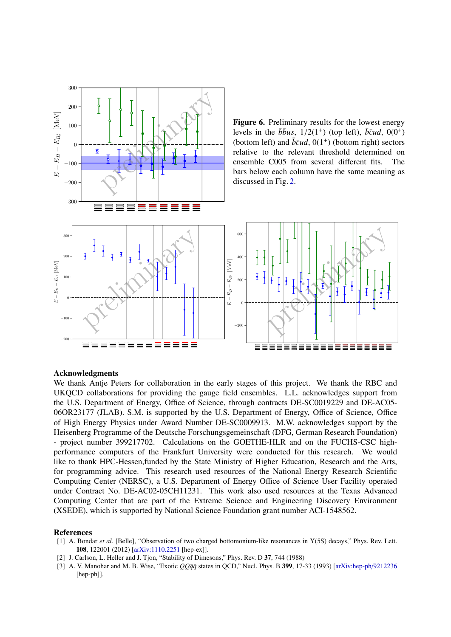<span id="page-7-2"></span>

## Acknowledgments

We thank Antje Peters for collaboration in the early stages of this project. We thank the RBC and UKQCD collaborations for providing the gauge field ensembles. L.L. acknowledges support from the U.S. Department of Energy, Office of Science, through contracts DE-SC0019229 and DE-AC05- 06OR23177 (JLAB). S.M. is supported by the U.S. Department of Energy, Office of Science, Office of High Energy Physics under Award Number DE-SC0009913. M.W. acknowledges support by the Heisenberg Programme of the Deutsche Forschungsgemeinschaft (DFG, German Research Foundation) - project number 399217702. Calculations on the GOETHE-HLR and on the FUCHS-CSC highperformance computers of the Frankfurt University were conducted for this research. We would like to thank HPC-Hessen,funded by the State Ministry of Higher Education, Research and the Arts, for programming advice. This research used resources of the National Energy Research Scientific Computing Center (NERSC), a U.S. Department of Energy Office of Science User Facility operated under Contract No. DE-AC02-05CH11231. This work also used resources at the Texas Advanced Computing Center that are part of the Extreme Science and Engineering Discovery Environment (XSEDE), which is supported by National Science Foundation grant number ACI-1548562.

#### References

- <span id="page-7-0"></span>[1] A. Bondar *et al.* [Belle], "Observation of two charged bottomonium-like resonances in Y(5S) decays," Phys. Rev. Lett. 108, 122001 (2012) [\[arXiv:1110.2251](http://arxiv.org/abs/1110.2251) [hep-ex]].
- <span id="page-7-1"></span>[2] J. Carlson, L. Heller and J. Tjon, "Stability of Dimesons," Phys. Rev. D 37, 744 (1988)
- [3] A. V. Manohar and M. B. Wise, "Exotic *QQq*¯*q*¯ states in QCD," Nucl. Phys. B 399, 17-33 (1993) [\[arXiv:hep-ph](http://arxiv.org/abs/hep-ph/9212236)/9212236 [hep-ph]].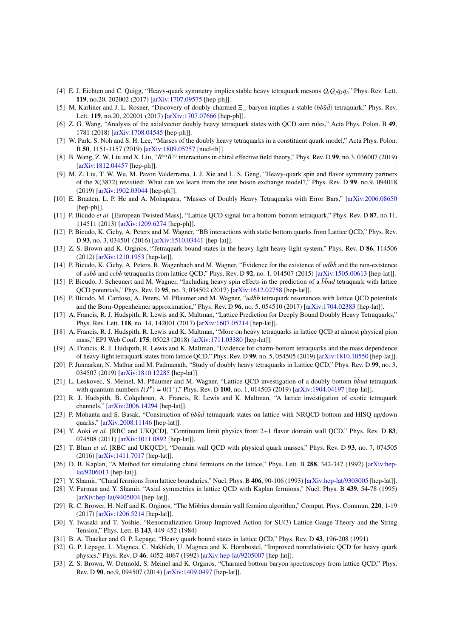- <span id="page-8-0"></span>[4] E. J. Eichten and C. Quigg, "Heavy-quark symmetry implies stable heavy tetraquark mesons  $Q_iQ_j\bar{q}_k\bar{q}_l$ ," Phys. Rev. Lett. 119, no.20, 202002 (2017) [\[arXiv:1707.09575](http://arxiv.org/abs/1707.09575) [hep-ph]].
- [5] M. Karliner and J. L. Rosner, "Discovery of doubly-charmed Ξ<sub>cc</sub> baryon implies a stable (*bbūd*) tetraquark," Phys. Rev. Lett. 119, no.20, 202001 (2017) [\[arXiv:1707.07666](http://arxiv.org/abs/1707.07666) [hep-ph]].
- [6] Z. G. Wang, "Analysis of the axialvector doubly heavy tetraquark states with QCD sum rules," Acta Phys. Polon. B 49, 1781 (2018) [\[arXiv:1708.04545](http://arxiv.org/abs/1708.04545) [hep-ph]].
- [7] W. Park, S. Noh and S. H. Lee, "Masses of the doubly heavy tetraquarks in a constituent quark model," Acta Phys. Polon. B 50, 1151-1157 (2019) [\[arXiv:1809.05257](http://arxiv.org/abs/1809.05257) [nucl-th]].
- [8] B. Wang, Z. W. Liu and X. Liu, " $\bar{B}^{(*)}$  interactions in chiral effective field theory," Phys. Rev. D 99, no.3, 036007 (2019) [\[arXiv:1812.04457](http://arxiv.org/abs/1812.04457) [hep-ph]].
- [9] M. Z. Liu, T. W. Wu, M. Pavon Valderrama, J. J. Xie and L. S. Geng, "Heavy-quark spin and flavor symmetry partners of the X(3872) revisited: What can we learn from the one boson exchange model?," Phys. Rev. D 99, no.9, 094018 (2019) [\[arXiv:1902.03044](http://arxiv.org/abs/1902.03044) [hep-ph]].
- <span id="page-8-1"></span>[10] E. Braaten, L. P. He and A. Mohapatra, "Masses of Doubly Heavy Tetraquarks with Error Bars," [\[arXiv:2006.08650](http://arxiv.org/abs/2006.08650) [hep-ph]].
- <span id="page-8-2"></span>[11] P. Bicudo *et al.* [European Twisted Mass], "Lattice QCD signal for a bottom-bottom tetraquark," Phys. Rev. D 87, no.11, 114511 (2013) [\[arXiv:1209.6274](http://arxiv.org/abs/1209.6274) [hep-ph]].
- [12] P. Bicudo, K. Cichy, A. Peters and M. Wagner, "BB interactions with static bottom quarks from Lattice QCD," Phys. Rev. D 93, no. 3, 034501 (2016) [\[arXiv:1510.03441](http://arxiv.org/abs/1510.03441) [hep-lat]].
- [13] Z. S. Brown and K. Orginos, "Tetraquark bound states in the heavy-light heavy-light system," Phys. Rev. D 86, 114506 (2012) [\[arXiv:1210.1953](http://arxiv.org/abs/1210.1953) [hep-lat]].
- <span id="page-8-3"></span>[14] P. Bicudo, K. Cichy, A. Peters, B. Wagenbach and M. Wagner, "Evidence for the existence of  $ud\overline{b}\overline{b}$  and the non-existence of  $s s\bar{b}\bar{b}$  and  $c c\bar{b}\bar{b}$  tetraquarks from lattice QCD," Phys. Rev. D **92**, no. 1, 014507 (2015) [\[arXiv:1505.00613](http://arxiv.org/abs/1505.00613) [hep-lat]].
- <span id="page-8-4"></span>[15] P. Bicudo, J. Scheunert and M. Wagner, "Including heavy spin effects in the prediction of a  $b\bar{b}\nu d$  tetraquark with lattice QCD potentials," Phys. Rev. D 95, no. 3, 034502 (2017) [\[arXiv:1612.02758](http://arxiv.org/abs/1612.02758) [hep-lat]].
- <span id="page-8-5"></span>[16] P. Bicudo, M. Cardoso, A. Peters, M. Pflaumer and M. Wagner, "*udbb* tetraquark resonances with lattice QCD potentials and the Born-Oppenheimer approximation," Phys. Rev. D 96, no. 5, 054510 (2017) [\[arXiv:1704.02383](http://arxiv.org/abs/1704.02383) [hep-lat]].
- <span id="page-8-6"></span>[17] A. Francis, R. J. Hudspith, R. Lewis and K. Maltman, "Lattice Prediction for Deeply Bound Doubly Heavy Tetraquarks," Phys. Rev. Lett. 118, no. 14, 142001 (2017) [\[arXiv:1607.05214](http://arxiv.org/abs/1607.05214) [hep-lat]].
- <span id="page-8-18"></span>[18] A. Francis, R. J. Hudspith, R. Lewis and K. Maltman, "More on heavy tetraquarks in lattice QCD at almost physical pion mass," EPJ Web Conf. 175, 05023 (2018) [\[arXiv:1711.03380](http://arxiv.org/abs/1711.03380) [hep-lat]].
- <span id="page-8-19"></span>[19] A. Francis, R. J. Hudspith, R. Lewis and K. Maltman, "Evidence for charm-bottom tetraquarks and the mass dependence of heavy-light tetraquark states from lattice QCD," Phys. Rev. D 99, no. 5, 054505 (2019) [\[arXiv:1810.10550](http://arxiv.org/abs/1810.10550) [hep-lat]].
- <span id="page-8-17"></span>[20] P. Junnarkar, N. Mathur and M. Padmanath, "Study of doubly heavy tetraquarks in Lattice QCD," Phys. Rev. D 99, no. 3, 034507 (2019) [\[arXiv:1810.12285](http://arxiv.org/abs/1810.12285) [hep-lat]].
- <span id="page-8-8"></span>[21] L. Leskovec, S. Meinel, M. Pflaumer and M. Wagner, "Lattice QCD investigation of a doubly-bottom  $b\bar{b}ud$  tetraquark with quantum numbers  $I(J^P) = 0(1^+)$ ," Phys. Rev. D 100, no. 1, 014503 (2019) [\[arXiv:1904.04197](http://arxiv.org/abs/1904.04197) [hep-lat]].
- <span id="page-8-20"></span>[22] R. J. Hudspith, B. Colquhoun, A. Francis, R. Lewis and K. Maltman, "A lattice investigation of exotic tetraquark channels," [\[arXiv:2006.14294](http://arxiv.org/abs/2006.14294) [hep-lat]].
- <span id="page-8-7"></span>[23] P. Mohanta and S. Basak, "Construction of *bbud* tetraquark states on lattice with NRQCD bottom and HISQ up/down quarks," [\[arXiv:2008.11146](http://arxiv.org/abs/2008.11146) [hep-lat]].
- <span id="page-8-9"></span>[24] Y. Aoki *et al.* [RBC and UKQCD], "Continuum limit physics from 2+1 flavor domain wall QCD," Phys. Rev. D 83, 074508 (2011) [\[arXiv:1011.0892](http://arxiv.org/abs/1011.0892) [hep-lat]].
- <span id="page-8-10"></span>[25] T. Blum *et al.* [RBC and UKQCD], "Domain wall QCD with physical quark masses," Phys. Rev. D 93, no. 7, 074505 (2016) [\[arXiv:1411.7017](http://arxiv.org/abs/1411.7017) [hep-lat]].
- <span id="page-8-11"></span>[26] D. B. Kaplan, "A Method for simulating chiral fermions on the lattice," Phys. Lett. B 288, 342-347 (1992) [\[arXiv:hep](http://arxiv.org/abs/hep-lat/9206013)lat/[9206013](http://arxiv.org/abs/hep-lat/9206013) [hep-lat]].
- [27] Y. Shamir, "Chiral fermions from lattice boundaries," Nucl. Phys. B 406, 90-106 (1993) [\[arXiv:hep-lat](http://arxiv.org/abs/hep-lat/9303005)/9303005 [hep-lat]].
- [28] V. Furman and Y. Shamir, "Axial symmetries in lattice QCD with Kaplan fermions," Nucl. Phys. B 439, 54-78 (1995) [\[arXiv:hep-lat](http://arxiv.org/abs/hep-lat/9405004)/9405004 [hep-lat]].
- <span id="page-8-12"></span>[29] R. C. Brower, H. Neff and K. Orginos, "The Möbius domain wall fermion algorithm," Comput. Phys. Commun. 220, 1-19 (2017) [\[arXiv:1206.5214](http://arxiv.org/abs/1206.5214) [hep-lat]].
- <span id="page-8-13"></span>[30] Y. Iwasaki and T. Yoshie, "Renormalization Group Improved Action for SU(3) Lattice Gauge Theory and the String Tension," Phys. Lett. B 143, 449-452 (1984)
- <span id="page-8-14"></span>[31] B. A. Thacker and G. P. Lepage, "Heavy quark bound states in lattice QCD," Phys. Rev. D 43, 196-208 (1991)
- <span id="page-8-15"></span>[32] G. P. Lepage, L. Magnea, C. Nakhleh, U. Magnea and K. Hornbostel, "Improved nonrelativistic QCD for heavy quark physics," Phys. Rev. D 46, 4052-4067 (1992) [\[arXiv:hep-lat](http://arxiv.org/abs/hep-lat/9205007)/9205007 [hep-lat]].
- <span id="page-8-16"></span>[33] Z. S. Brown, W. Detmold, S. Meinel and K. Orginos, "Charmed bottom baryon spectroscopy from lattice QCD," Phys. Rev. D 90, no.9, 094507 (2014) [\[arXiv:1409.0497](http://arxiv.org/abs/1409.0497) [hep-lat]].